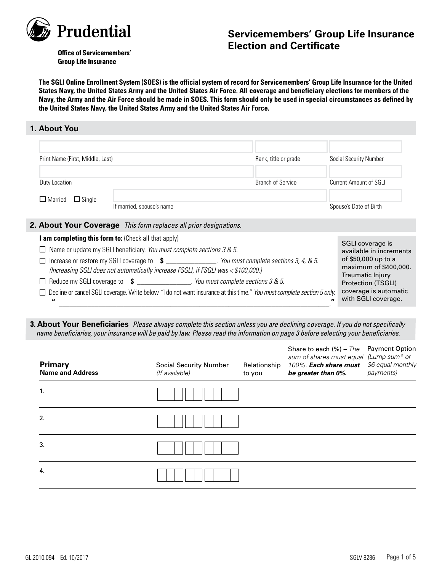

# **Servicemembers' Group Life Insurance Election and Certificate**

**Office of Servicemembers' Group Life Insurance** 

**The SGLI Online Enrollment System (SOES) is the official system of record for Servicemembers' Group Life Insurance for the United States Navy, the United States Army and the United States Air Force. All coverage and beneficiary elections for members of the Navy, the Army and the Air Force should be made in SOES. This form should only be used in special circumstances as defined by the United States Navy, the United States Army and the United States Air Force.**

### **1. About You**

| Print Name (First, Middle, Last) |                                                                                                                                    | Rank, title or grade     | Social Security Number                      |
|----------------------------------|------------------------------------------------------------------------------------------------------------------------------------|--------------------------|---------------------------------------------|
| Duty Location                    |                                                                                                                                    | <b>Branch of Service</b> | Current Amount of SGLI                      |
| $\Box$ Single<br>$\Box$ Married  | If married, spouse's name                                                                                                          |                          | Spouse's Date of Birth                      |
|                                  | <b>2. About Your Coverage</b> This form replaces all prior designations.                                                           |                          |                                             |
|                                  | <b>am completing this form to:</b> (Check all that apply)<br>Name or update my SGLI beneficiary. You must complete sections 3 & 5. |                          | SGLI coverage is<br>available in increments |

| $\Box$ Traffic of update thy SOLI belieficially. The mast complete sections 5 $\alpha$ 5.                                                | available in increments                      |
|------------------------------------------------------------------------------------------------------------------------------------------|----------------------------------------------|
| . You must complete sections $3, 4, 8, 5$ .<br>□ Increase or restore my SGLI coverage to \$                                              | of \$50,000 up to a                          |
| (Increasing SGLI does not automatically increase FSGLI, if FSGLI was < \$100,000.)                                                       | maximum of \$400,000.                        |
| You must complete sections 3 & 5.<br>□ Reduce my SGLI coverage to \$ ___________                                                         | Traumatic Injury<br>Protection (TSGLI)       |
| □ Decline or cancel SGLI coverage. Write below "I do not want insurance at this time." You must complete section 5 only.<br>$\mathbf{u}$ | coverage is automatic<br>with SGLI coverage. |

**3. About Your Beneficiaries** *Please always complete this section unless you are declining coverage. If you do not specifically name beneficiaries, your insurance will be paid by law. Please read the information on page 3 before selecting your beneficiaries.*

**"** \_\_\_\_\_\_\_\_\_\_\_\_\_\_\_\_\_\_\_\_\_\_\_\_\_\_\_\_\_\_\_\_\_\_\_\_\_\_\_\_\_\_\_\_\_\_\_\_\_\_\_\_\_\_\_\_\_\_\_\_\_\_\_\_\_\_\_\_\_\_\_\_\_\_\_.**"**

| Primary<br><b>Name and Address</b> | <b>Social Security Number</b><br>(If available) | Relationship<br>to you | Share to each $(%)$ – The Payment Option<br>sum of shares must equal (Lump sum* or<br>100%. Each share must<br>be greater than 0%. | 36 equal monthly<br>payments) |
|------------------------------------|-------------------------------------------------|------------------------|------------------------------------------------------------------------------------------------------------------------------------|-------------------------------|
| 1.                                 |                                                 |                        |                                                                                                                                    |                               |
| 2.                                 |                                                 |                        |                                                                                                                                    |                               |
| 3.                                 |                                                 |                        |                                                                                                                                    |                               |
| 4.                                 |                                                 |                        |                                                                                                                                    |                               |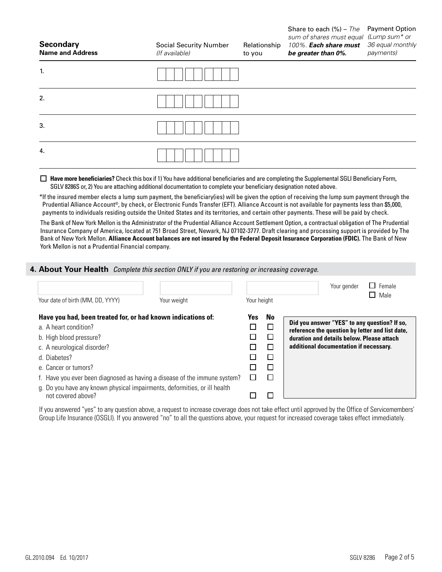| <b>Secondary</b><br><b>Name and Address</b> | <b>Social Security Number</b><br>(If available) | Relationship<br>to you | Share to each $(\%)$ – The Payment Option<br>sum of shares must equal (Lump sum* or<br>100%. Each share must<br>be greater than 0%. | 36 equal monthly<br>payments) |
|---------------------------------------------|-------------------------------------------------|------------------------|-------------------------------------------------------------------------------------------------------------------------------------|-------------------------------|
| 1.                                          |                                                 |                        |                                                                                                                                     |                               |
| 2.                                          |                                                 |                        |                                                                                                                                     |                               |
| 3.                                          |                                                 |                        |                                                                                                                                     |                               |
| 4.                                          |                                                 |                        |                                                                                                                                     |                               |

 **Have more beneficiaries?** Check this box if 1) You have additional beneficiaries and are completing the Supplemental SGLI Beneficiary Form, SGLV 8286S or, 2) You are attaching additional documentation to complete your beneficiary designation noted above.

\*If the insured member elects a lump sum payment, the beneficiary(ies) will be given the option of receiving the lump sum payment through the Prudential Alliance Account®, by check, or Electronic Funds Transfer (EFT). Alliance Account is not available for payments less than \$5,000, payments to individuals residing outside the United States and its territories, and certain other payments. These will be paid by check.

The Bank of New York Mellon is the Administrator of the Prudential Alliance Account Settlement Option, a contractual obligation of The Prudential Insurance Company of America, located at 751 Broad Street, Newark, NJ 07102-3777. Draft clearing and processing support is provided by The Bank of New York Mellon. **Alliance Account balances are not insured by the Federal Deposit Insurance Corporation (FDIC).** The Bank of New York Mellon is not a Prudential Financial company.

### **4. About Your Health** *Complete this section ONLY if you are restoring or increasing coverage.*

| Your date of birth (MM, DD, YYYY)                                                               | Your weight | Your height |                             | Female<br>Your gender<br>Male                   |
|-------------------------------------------------------------------------------------------------|-------------|-------------|-----------------------------|-------------------------------------------------|
| Have you had, been treated for, or had known indications of:                                    |             | Yes         | No                          | Did you answer "YES" to any question? If so,    |
| a. A heart condition?                                                                           |             |             | $\mathcal{L}_{\mathcal{A}}$ | reference the question by letter and list date, |
| b. High blood pressure?                                                                         |             |             | $\Box$                      | duration and details below. Please attach       |
| c. A neurological disorder?                                                                     |             |             |                             | additional documentation if necessary.          |
| d. Diabetes?                                                                                    |             |             | $\Box$                      |                                                 |
| e. Cancer or tumors?                                                                            |             |             |                             |                                                 |
| f. Have you ever been diagnosed as having a disease of the immune system?                       |             |             |                             |                                                 |
| g. Do you have any known physical impairments, deformities, or ill health<br>not covered above? |             |             |                             |                                                 |

If you answered "yes" to any question above, a request to increase coverage does not take effect until approved by the Office of Servicemembers' Group Life Insurance (OSGLI). If you answered "no" to all the questions above, your request for increased coverage takes effect immediately.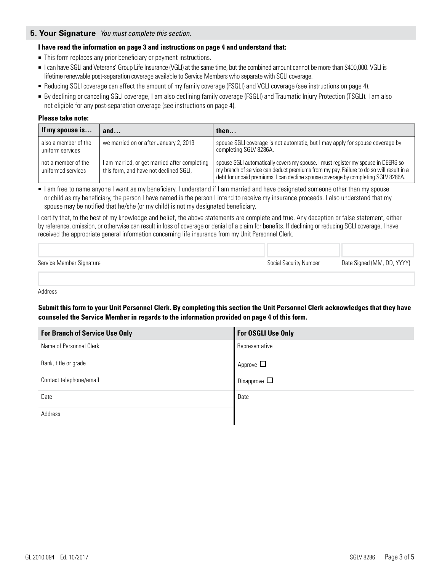### **5. Your Signature** *You must complete this section.*

### **I have read the information on page 3 and instructions on page 4 and understand that:**

- This form replaces any prior beneficiary or payment instructions.
- I can have SGLI and Veterans' Group Life Insurance (VGLI) at the same time, but the combined amount cannot be more than \$400,000. VGLI is lifetime renewable post-separation coverage available to Service Members who separate with SGLI coverage.
- Reducing SGLI coverage can affect the amount of my family coverage (FSGLI) and VGLI coverage (see instructions on page 4).
- By declining or canceling SGLI coverage, I am also declining family coverage (FSGLI) and Traumatic Injury Protection (TSGLI). I am also not eligible for any post-separation coverage (see instructions on page 4).

#### **Please take note:**

| If my spouse is                           | and                                                                                     | then                                                                                                                                                                                                                                                              |
|-------------------------------------------|-----------------------------------------------------------------------------------------|-------------------------------------------------------------------------------------------------------------------------------------------------------------------------------------------------------------------------------------------------------------------|
| also a member of the<br>uniform services  | we married on or after January 2, 2013                                                  | spouse SGLI coverage is not automatic, but I may apply for spouse coverage by<br>completing SGLV 8286A.                                                                                                                                                           |
| not a member of the<br>uniformed services | I am married, or get married after completing<br>this form, and have not declined SGLI, | spouse SGLI automatically covers my spouse. I must register my spouse in DEERS so<br>my branch of service can deduct premiums from my pay. Failure to do so will result in a<br>debt for unpaid premiums. I can decline spouse coverage by completing SGLV 8286A. |

■ I am free to name anyone I want as my beneficiary. I understand if I am married and have designated someone other than my spouse or child as my beneficiary, the person I have named is the person I intend to receive my insurance proceeds. I also understand that my spouse may be notified that he/she (or my child) is not my designated beneficiary.

I certify that, to the best of my knowledge and belief, the above statements are complete and true. Any deception or false statement, either by reference, omission, or otherwise can result in loss of coverage or denial of a claim for benefits. If declining or reducing SGLI coverage, I have received the appropriate general information concerning life insurance from my Unit Personnel Clerk.

| Service Member Signature | Social Security Number | Date Signed (MM, DD, YYYY) |
|--------------------------|------------------------|----------------------------|

Address

**Submit this form to your Unit Personnel Clerk. By completing this section the Unit Personnel Clerk acknowledges that they have counseled the Service Member in regards to the information provided on page 4 of this form.**

| <b>For Branch of Service Use Only</b> | For OSGLI Use Only |
|---------------------------------------|--------------------|
| Name of Personnel Clerk               | Representative     |
| Rank, title or grade                  | Approve $\Box$     |
| Contact telephone/email               | Disapprove $\Box$  |
| Date                                  | Date               |
| Address                               |                    |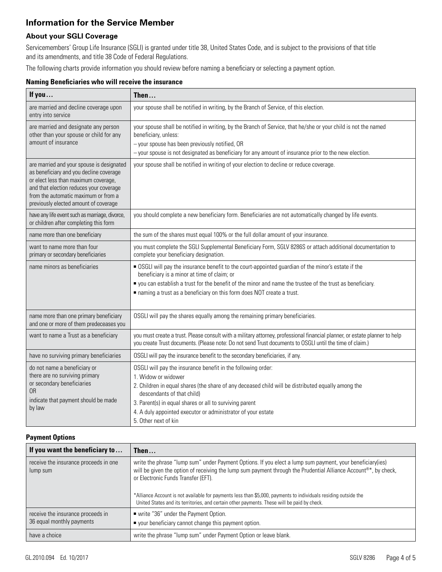# **Information for the Service Member**

## **About your SGLI Coverage**

Servicemembers' Group Life Insurance (SGLI) is granted under title 38, United States Code, and is subject to the provisions of that title and its amendments, and title 38 Code of Federal Regulations.

The following charts provide information you should review before naming a beneficiary or selecting a payment option.

| <b>Naming Beneficiaries who will receive the insurance</b> |  |
|------------------------------------------------------------|--|
|------------------------------------------------------------|--|

| If you                                                                                                                                                                                                                                                   | Then                                                                                                                                                                                                                                                                                                                                               |
|----------------------------------------------------------------------------------------------------------------------------------------------------------------------------------------------------------------------------------------------------------|----------------------------------------------------------------------------------------------------------------------------------------------------------------------------------------------------------------------------------------------------------------------------------------------------------------------------------------------------|
| are married and decline coverage upon<br>entry into service                                                                                                                                                                                              | your spouse shall be notified in writing, by the Branch of Service, of this election.                                                                                                                                                                                                                                                              |
| are married and designate any person<br>other than your spouse or child for any<br>amount of insurance                                                                                                                                                   | your spouse shall be notified in writing, by the Branch of Service, that he/she or your child is not the named<br>beneficiary, unless:<br>- your spouse has been previously notified, OR<br>- your spouse is not designated as beneficiary for any amount of insurance prior to the new election.                                                  |
| are married and your spouse is designated<br>as beneficiary and you decline coverage<br>or elect less than maximum coverage,<br>and that election reduces your coverage<br>from the automatic maximum or from a<br>previously elected amount of coverage | your spouse shall be notified in writing of your election to decline or reduce coverage.                                                                                                                                                                                                                                                           |
| have any life event such as marriage, divorce,<br>or children after completing this form                                                                                                                                                                 | you should complete a new beneficiary form. Beneficiaries are not automatically changed by life events.                                                                                                                                                                                                                                            |
| name more than one beneficiary                                                                                                                                                                                                                           | the sum of the shares must equal 100% or the full dollar amount of your insurance.                                                                                                                                                                                                                                                                 |
| want to name more than four<br>primary or secondary beneficiaries                                                                                                                                                                                        | you must complete the SGLI Supplemental Beneficiary Form, SGLV 8286S or attach additional documentation to<br>complete your beneficiary designation.                                                                                                                                                                                               |
| name minors as beneficiaries                                                                                                                                                                                                                             | • OSGLI will pay the insurance benefit to the court-appointed guardian of the minor's estate if the<br>beneficiary is a minor at time of claim; or<br>" you can establish a trust for the benefit of the minor and name the trustee of the trust as beneficiary.<br>naming a trust as a beneficiary on this form does NOT create a trust.          |
| name more than one primary beneficiary<br>and one or more of them predeceases you                                                                                                                                                                        | OSGLI will pay the shares equally among the remaining primary beneficiaries.                                                                                                                                                                                                                                                                       |
| want to name a Trust as a beneficiary                                                                                                                                                                                                                    | you must create a trust. Please consult with a military attorney, professional financial planner, or estate planner to help<br>you create Trust documents. (Please note: Do not send Trust documents to OSGLI until the time of claim.)                                                                                                            |
| have no surviving primary beneficiaries                                                                                                                                                                                                                  | OSGLI will pay the insurance benefit to the secondary beneficiaries, if any.                                                                                                                                                                                                                                                                       |
| do not name a beneficiary or<br>there are no surviving primary<br>or secondary beneficiaries<br><b>OR</b><br>indicate that payment should be made<br>by law                                                                                              | OSGLI will pay the insurance benefit in the following order:<br>1. Widow or widower<br>2. Children in equal shares (the share of any deceased child will be distributed equally among the<br>descendants of that child)<br>3. Parent(s) in equal shares or all to surviving parent<br>4. A duly appointed executor or administrator of your estate |
|                                                                                                                                                                                                                                                          | 5. Other next of kin                                                                                                                                                                                                                                                                                                                               |

#### **Payment Options**

| If you want the beneficiary to                                 | Then $\dots$                                                                                                                                                                                                                                                                                                                                                                                                                                                                                       |
|----------------------------------------------------------------|----------------------------------------------------------------------------------------------------------------------------------------------------------------------------------------------------------------------------------------------------------------------------------------------------------------------------------------------------------------------------------------------------------------------------------------------------------------------------------------------------|
| receive the insurance proceeds in one<br>lump sum              | write the phrase "lump sum" under Payment Options. If you elect a lump sum payment, your beneficiary(ies)<br>will be given the option of receiving the lump sum payment through the Prudential Alliance Account <sup>®*</sup> , by check,<br>or Electronic Funds Transfer (EFT).<br>*Alliance Account is not available for payments less than \$5,000, payments to individuals residing outside the<br>United States and its territories, and certain other payments. These will be paid by check. |
| receive the insurance proceeds in<br>36 equal monthly payments | ■ write "36" under the Payment Option.<br>■ your beneficiary cannot change this payment option.                                                                                                                                                                                                                                                                                                                                                                                                    |
| have a choice                                                  | write the phrase "lump sum" under Payment Option or leave blank.                                                                                                                                                                                                                                                                                                                                                                                                                                   |